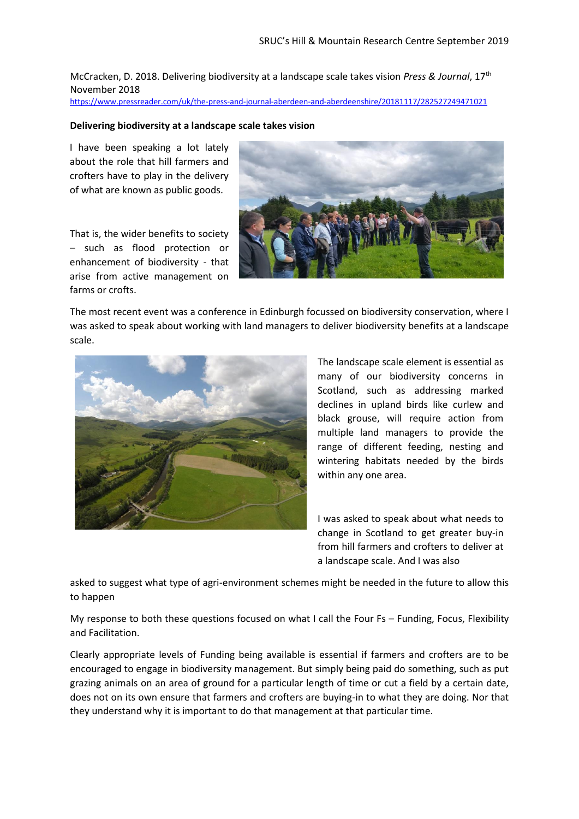McCracken, D. 2018. Delivering biodiversity at a landscape scale takes vision *Press & Journal*, 17th November 2018 <https://www.pressreader.com/uk/the-press-and-journal-aberdeen-and-aberdeenshire/20181117/282527249471021>

## **Delivering biodiversity at a landscape scale takes vision**

I have been speaking a lot lately about the role that hill farmers and crofters have to play in the delivery of what are known as public goods.

That is, the wider benefits to society – such as flood protection or enhancement of biodiversity - that arise from active management on farms or crofts.



The most recent event was a conference in Edinburgh focussed on biodiversity conservation, where I was asked to speak about working with land managers to deliver biodiversity benefits at a landscape scale.



The landscape scale element is essential as many of our biodiversity concerns in Scotland, such as addressing marked declines in upland birds like curlew and black grouse, will require action from multiple land managers to provide the range of different feeding, nesting and wintering habitats needed by the birds within any one area.

I was asked to speak about what needs to change in Scotland to get greater buy-in from hill farmers and crofters to deliver at a landscape scale. And I was also

asked to suggest what type of agri-environment schemes might be needed in the future to allow this to happen

My response to both these questions focused on what I call the Four Fs – Funding, Focus, Flexibility and Facilitation.

Clearly appropriate levels of Funding being available is essential if farmers and crofters are to be encouraged to engage in biodiversity management. But simply being paid do something, such as put grazing animals on an area of ground for a particular length of time or cut a field by a certain date, does not on its own ensure that farmers and crofters are buying-in to what they are doing. Nor that they understand why it is important to do that management at that particular time.